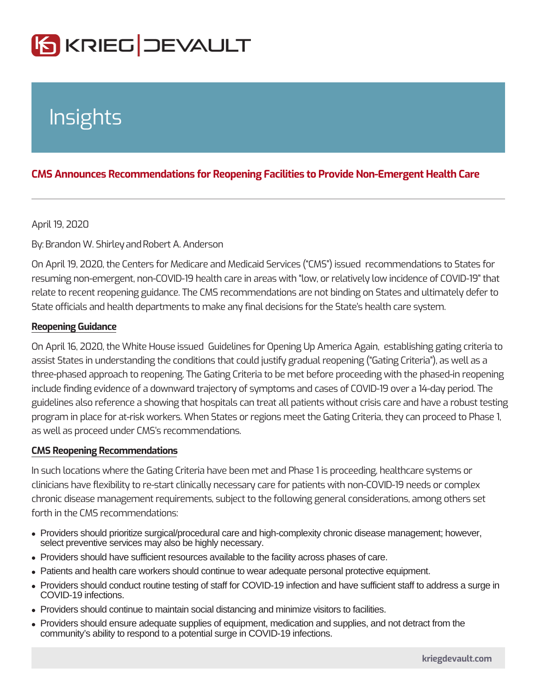# Insights

# CMS Announces Recommendations for Reopening Facilities to Provide No

## April 19, 2020

#### ByBrandon W. Sanin Robert A. Anderson

On April 19, 2020, the Centers for Medicare and Medicaid Services (CMS) issue resuming non-emergent, non-COVID-19 health care in areas with low, or relative relate to recent reopening guidance. The CMS recommendations are not binding on State officials and health departments to make any final decisions for the State s

#### Reopening Guidance

On April 16, 2020, the White House issued Guidelines for Opening Up America A assist States in understanding the conditions that could justify gradual reopening three-phased approach to reopening. The Gating Criteria to be met before procee include finding evidence of a downward trajectory of symptoms and cases of COV guidelines also reference a showing that hospitals can treat all patients without program in place for at-risk workers. When States or regions meet the Gating Cri as well as proceed under CMS s recommendations.

## CMS Reopening Recommendations

In such locations where the Gating Criteria have been met and Phase 1 is procee clinicians have flexibility to re-start clinically necessary care for patients with ne chronic disease management requirements, subject to the following general cons forth in the CMS recommendations:

- Providers should prioritize surgical/procedural care and high-complexity chronic disease management; however, select preventive services may also be highly necessary.
- Providers should have sufficient resources available to the facility across phases of care.
- Patients and health care workers should continue to wear adequate personal protective equipment.
- Providers should conduct routine testing of staff for COVID-19 infection and have sufficient staff to address a surge in COVID-19 infections.
- Providers should continue to maintain social distancing and minimize visitors to facilities.
- Providers should ensure adequate supplies of equipment, medication and supplies, and not detract from the community's ability to respond to a potential surge in COVID-19 infections.